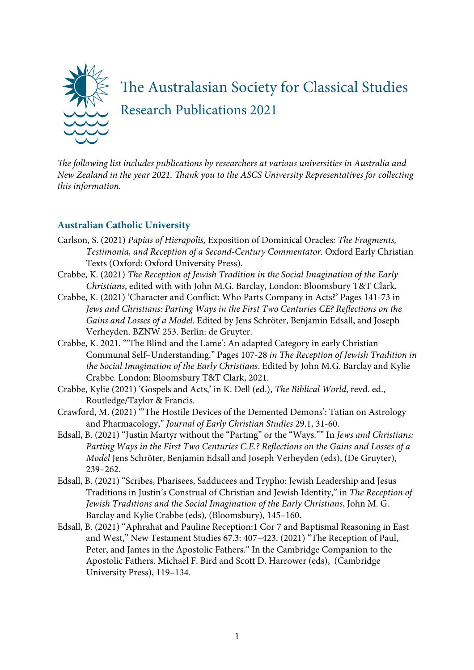

T*e following list includes publications by researchers at various universities in Australia and New Zealand in the year 2021.* T*ank you to the ASCS University Representatives for collecting this information.*

# **Australian Catholic University**

- Carlson, S. (2021) *Papias of Hierapolis,* Exposition of Dominical Oracles*: The Fragments, Testimonia, and Reception of a Second-Century Commentator.* Oxford Early Christian Texts (Oxford: Oxford University Press).
- Crabbe, K. (2021) *The Reception of Jewish Tradition in the Social Imagination of the Early Christians*, edited with with John M.G. Barclay, London: Bloomsbury T&T Clark.
- Crabbe, K. (2021) 'Character and Conflict: Who Parts Company in Acts?' Pages 141-73 in *Jews and Christians: Parting Ways in the First Two Centuries CE? Reflections on the Gains and Losses of a Model*. Edited by Jens Schröter, Benjamin Edsall, and Joseph Verheyden. BZNW 253. Berlin: de Gruyter.
- Crabbe, K. 2021. "'The Blind and the Lame': An adapted Category in early Christian Communal Self–Understanding." Pages 107-28 *in The Reception of Jewish Tradition in the Social Imagination of the Early Christians*. Edited by John M.G. Barclay and Kylie Crabbe. London: Bloomsbury T&T Clark, 2021.
- Crabbe, Kylie (2021) 'Gospels and Acts,' in K. Dell (ed.), *The Biblical World*, revd. ed., Routledge/Taylor & Francis.
- Crawford, M. (2021) "'The Hostile Devices of the Demented Demons': Tatian on Astrology and Pharmacology," *Journal of Early Christian Studies* 29.1, 31-60.
- Edsall, B. (2021) "Justin Martyr without the "Parting" or the "Ways."" In *Jews and Christians: Parting Ways in the First Two Centuries C.E.? Reflections on the Gains and Losses of a Model* Jens Schröter, Benjamin Edsall and Joseph Verheyden (eds), (De Gruyter), 239–262.
- Edsall, B. (2021) "Scribes, Pharisees, Sadducees and Trypho: Jewish Leadership and Jesus Traditions in Justin's Construal of Christian and Jewish Identity," in *The Reception of Jewish Traditions and the Social Imagination of the Early Christians*, John M. G. Barclay and Kylie Crabbe (eds), (Bloomsbury), 145–160.
- Edsall, B. (2021) "Aphrahat and Pauline Reception:1 Cor 7 and Baptismal Reasoning in East and West," New Testament Studies 67.3: 407–423. (2021) "The Reception of Paul, Peter, and James in the Apostolic Fathers." In the Cambridge Companion to the Apostolic Fathers. Michael F. Bird and Scott D. Harrower (eds), (Cambridge University Press), 119–134.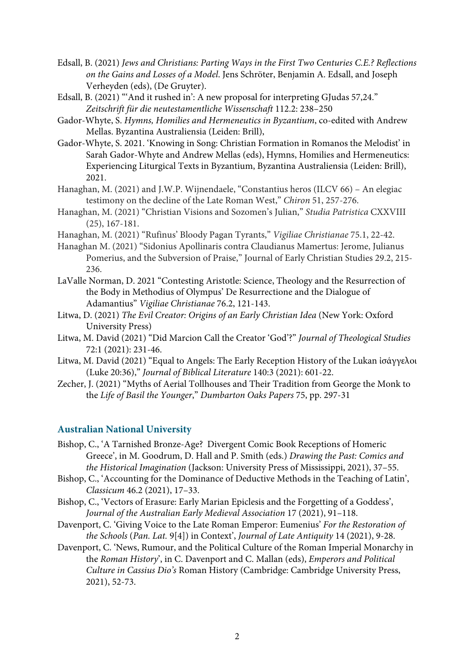- Edsall, B. (2021) *Jews and Christians: Parting Ways in the First Two Centuries C.E.? Reflections on the Gains and Losses of a Model*. Jens Schröter, Benjamin A. Edsall, and Joseph Verheyden (eds), (De Gruyter).
- Edsall, B. (2021) "'And it rushed in': A new proposal for interpreting GJudas 57,24." *Zeitschrift für die neutestamentliche Wissenschaft* 112.2: 238–250
- Gador-Whyte, S. *Hymns, Homilies and Hermeneutics in Byzantium*, co-edited with Andrew Mellas. Byzantina Australiensia (Leiden: Brill),
- Gador-Whyte, S. 2021. 'Knowing in Song: Christian Formation in Romanos the Melodist' in Sarah Gador-Whyte and Andrew Mellas (eds), Hymns, Homilies and Hermeneutics: Experiencing Liturgical Texts in Byzantium, Byzantina Australiensia (Leiden: Brill), 2021.
- Hanaghan, M. (2021) and J.W.P. Wijnendaele, "Constantius heros (ILCV 66) An elegiac testimony on the decline of the Late Roman West," *Chiron* 51, 257-276.
- Hanaghan, M. (2021) "Christian Visions and Sozomen's Julian," *Studia Patristica* CXXVIII (25), 167-181.
- Hanaghan, M. (2021) "Rufinus' Bloody Pagan Tyrants," *Vigiliae Christianae* 75.1, 22-42.
- Hanaghan M. (2021) "Sidonius Apollinaris contra Claudianus Mamertus: Jerome, Julianus Pomerius, and the Subversion of Praise," Journal of Early Christian Studies 29.2, 215- 236.
- LaValle Norman, D. 2021 "Contesting Aristotle: Science, Theology and the Resurrection of the Body in Methodius of Olympus' De Resurrectione and the Dialogue of Adamantius" *Vigiliae Christianae* 76.2, 121-143.
- Litwa, D. (2021) *The Evil Creator: Origins of an Early Christian Idea* (New York: Oxford University Press)
- Litwa, M. David (2021) "Did Marcion Call the Creator 'God'?" *Journal of Theological Studies*  72:1 (2021): 231-46.
- Litwa, M. David (2021) "Equal to Angels: The Early Reception History of the Lukan ἰσάγγελοι (Luke 20:36)," *Journal of Biblical Literature* 140:3 (2021): 601-22.
- Zecher, J. (2021) "Myths of Aerial Tollhouses and Their Tradition from George the Monk to the *Life of Basil the Younger*," *Dumbarton Oaks Papers* 75, pp. 297-31

## **Australian National University**

- Bishop, C., 'A Tarnished Bronze-Age? Divergent Comic Book Receptions of Homeric Greece', in M. Goodrum, D. Hall and P. Smith (eds.) *Drawing the Past: Comics and the Historical Imagination* (Jackson: University Press of Mississippi, 2021), 37–55.
- Bishop, C., 'Accounting for the Dominance of Deductive Methods in the Teaching of Latin', *Classicum* 46.2 (2021), 17–33.
- Bishop, C., 'Vectors of Erasure: Early Marian Epiclesis and the Forgetting of a Goddess', *Journal of the Australian Early Medieval Association* 17 (2021), 91–118.
- Davenport, C. 'Giving Voice to the Late Roman Emperor: Eumenius' *For the Restoration of the Schools* (*Pan. Lat.* 9[4]) in Context', *Journal of Late Antiquity* 14 (2021), 9-28.
- Davenport, C. 'News, Rumour, and the Political Culture of the Roman Imperial Monarchy in the *Roman History*', in C. Davenport and C. Mallan (eds), *Emperors and Political Culture in Cassius Dio's* Roman History (Cambridge: Cambridge University Press, 2021), 52-73.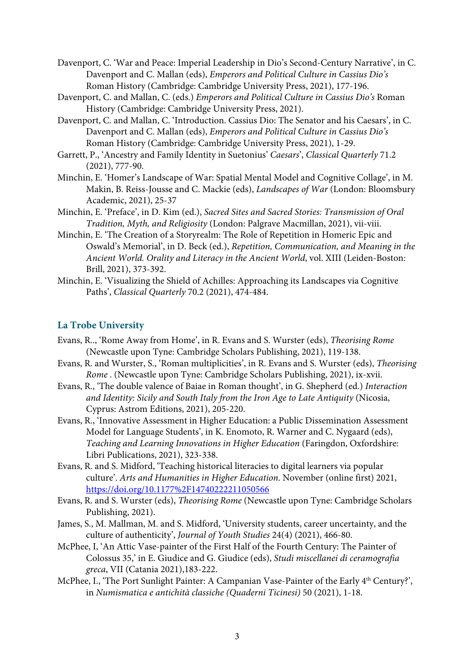- Davenport, C. 'War and Peace: Imperial Leadership in Dio's Second-Century Narrative', in C. Davenport and C. Mallan (eds), *Emperors and Political Culture in Cassius Dio's*  Roman History (Cambridge: Cambridge University Press, 2021), 177-196.
- Davenport, C. and Mallan, C. (eds.) *Emperors and Political Culture in Cassius Dio's* Roman History (Cambridge: Cambridge University Press, 2021).
- Davenport, C. and Mallan, C. 'Introduction. Cassius Dio: The Senator and his Caesars', in C. Davenport and C. Mallan (eds), *Emperors and Political Culture in Cassius Dio's*  Roman History (Cambridge: Cambridge University Press, 2021), 1-29.
- Garrett, P., 'Ancestry and Family Identity in Suetonius' *Caesars*', *Classical Quarterly* 71.2 (2021), 777-90.
- Minchin, E. 'Homer's Landscape of War: Spatial Mental Model and Cognitive Collage', in M. Makin, B. Reiss-Jousse and C. Mackie (eds), *Landscapes of War* (London: Bloomsbury Academic, 2021), 25-37
- Minchin, E. 'Preface', in D. Kim (ed.), *Sacred Sites and Sacred Stories: Transmission of Oral Tradition, Myth, and Religiosity* (London: Palgrave Macmillan, 2021), vii-viii.
- Minchin, E. 'The Creation of a Storyrealm: The Role of Repetition in Homeric Epic and Oswald's Memorial', in D. Beck (ed.), *Repetition, Communication, and Meaning in the Ancient World. Orality and Literacy in the Ancient World*, vol. XIII (Leiden-Boston: Brill, 2021), 373-392.
- Minchin, E. 'Visualizing the Shield of Achilles: Approaching its Landscapes via Cognitive Paths', *Classical Quarterly* 70.2 (2021), 474-484.

## **La Trobe University**

- Evans, R.., 'Rome Away from Home', in R. Evans and S. Wurster (eds), *Theorising Rome* (Newcastle upon Tyne: Cambridge Scholars Publishing, 2021), 119-138.
- Evans, R. and Wurster, S., 'Roman multiplicities', in R. Evans and S. Wurster (eds), *Theorising Rome* . (Newcastle upon Tyne: Cambridge Scholars Publishing, 2021), ix-xvii.
- Evans, R., 'The double valence of Baiae in Roman thought', in G. Shepherd (ed.) *Interaction and Identity: Sicily and South Italy from the Iron Age to Late Antiquity* (Nicosia, Cyprus: Astrom Editions, 2021), 205-220.
- Evans, R., 'Innovative Assessment in Higher Education: a Public Dissemination Assessment Model for Language Students', in K. Enomoto, R. Warner and C. Nygaard (eds), *Teaching and Learning Innovations in Higher Education* (Faringdon, Oxfordshire: Libri Publications, 2021), 323-338.
- Evans, R. and S. Midford, 'Teaching historical literacies to digital learners via popular culture'. *Arts and Humanities in Higher Education*. November (online first) 2021, https://doi.org/10.1177%2F14740222211050566
- Evans, R. and S. Wurster (eds), *Theorising Rome* (Newcastle upon Tyne: Cambridge Scholars Publishing, 2021).
- James, S., M. Mallman, M. and S. Midford, 'University students, career uncertainty, and the culture of authenticity', *Journal of Youth Studies* 24(4) (2021), 466-80.
- McPhee, I, 'An Attic Vase-painter of the First Half of the Fourth Century: The Painter of Colossus 35,' in E. Giudice and G. Giudice (eds), *Studi miscellanei di ceramografia greca*, VII (Catania 2021),183-222.
- McPhee, I., 'The Port Sunlight Painter: A Campanian Vase-Painter of the Early 4<sup>th</sup> Century?', in *Numismatica e antichità classiche (Quaderni Ticinesi)* 50 (2021), 1-18.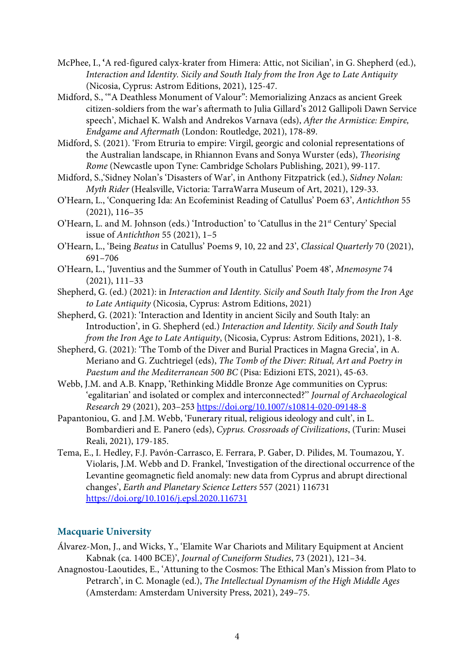- McPhee, I., **'**A red-figured calyx-krater from Himera: Attic, not Sicilian', in G. Shepherd (ed.), *Interaction and Identity. Sicily and South Italy from the Iron Age to Late Antiquity* (Nicosia, Cyprus: Astrom Editions, 2021), 125-47.
- Midford, S., '"A Deathless Monument of Valour": Memorializing Anzacs as ancient Greek citizen-soldiers from the war's aftermath to Julia Gillard's 2012 Gallipoli Dawn Service speech', Michael K. Walsh and Andrekos Varnava (eds), *After the Armistice: Empire, Endgame and Aftermath* (London: Routledge, 2021), 178-89.
- Midford, S. (2021). 'From Etruria to empire: Virgil, georgic and colonial representations of the Australian landscape, in Rhiannon Evans and Sonya Wurster (eds), *Theorising Rome* (Newcastle upon Tyne: Cambridge Scholars Publishing, 2021), 99-117.
- Midford, S.,'Sidney Nolan's 'Disasters of War', in Anthony Fitzpatrick (ed.), *Sidney Nolan: Myth Rider* (Healsville, Victoria: TarraWarra Museum of Art, 2021), 129-33.
- O'Hearn, L., 'Conquering Ida: An Ecofeminist Reading of Catullus' Poem 63', *Antichthon* 55 (2021), 116–35
- O'Hearn, L. and M. Johnson (eds.) 'Introduction' to 'Catullus in the 21st Century' Special issue of *Antichthon* 55 (2021), 1–5
- O'Hearn, L., 'Being *Beatus* in Catullus' Poems 9, 10, 22 and 23', *Classical Quarterly* 70 (2021), 691–706
- O'Hearn, L., 'Juventius and the Summer of Youth in Catullus' Poem 48', *Mnemosyne* 74 (2021), 111–33
- Shepherd, G. (ed.) (2021): in *Interaction and Identity. Sicily and South Italy from the Iron Age to Late Antiquity* (Nicosia, Cyprus: Astrom Editions, 2021)
- Shepherd, G. (2021): 'Interaction and Identity in ancient Sicily and South Italy: an Introduction', in G. Shepherd (ed.) *Interaction and Identity. Sicily and South Italy from the Iron Age to Late Antiquity*, (Nicosia, Cyprus: Astrom Editions, 2021), 1-8.
- Shepherd, G. (2021): 'The Tomb of the Diver and Burial Practices in Magna Grecia', in A. Meriano and G. Zuchtriegel (eds), *The Tomb of the Diver: Ritual, Art and Poetry in Paestum and the Mediterranean 500 BC* (Pisa: Edizioni ETS, 2021), 45-63.
- Webb, J.M. and A.B. Knapp, 'Rethinking Middle Bronze Age communities on Cyprus: 'egalitarian' and isolated or complex and interconnected?'' *Journal of Archaeological Research* 29 (2021), 203–253 https://doi.org/10.1007/s10814-020-09148-8
- Papantoniou, G. and J.M. Webb, 'Funerary ritual, religious ideology and cult', in L. Bombardieri and E. Panero (eds), *Cyprus. Crossroads of Civilizations*, (Turin: Musei Reali, 2021), 179-185.
- Tema, E., I. Hedley, F.J. Pavón-Carrasco, E. Ferrara, P. Gaber, D. Pilides, M. Toumazou, Y. Violaris, J.M. Webb and D. Frankel, 'Investigation of the directional occurrence of the Levantine geomagnetic field anomaly: new data from Cyprus and abrupt directional changes', *Earth and Planetary Science Letters* 557 (2021) 116731 https://doi.org/10.1016/j.epsl.2020.116731

## **Macquarie University**

- Álvarez-Mon, J., and Wicks, Y., 'Elamite War Chariots and Military Equipment at Ancient Kabnak (ca. 1400 BCE)', *Journal of Cuneiform Studies*, 73 (2021), 121–34.
- Anagnostou-Laoutides, E., 'Attuning to the Cosmos: The Ethical Man's Mission from Plato to Petrarch', in C. Monagle (ed.), *The Intellectual Dynamism of the High Middle Ages* (Amsterdam: Amsterdam University Press, 2021), 249–75.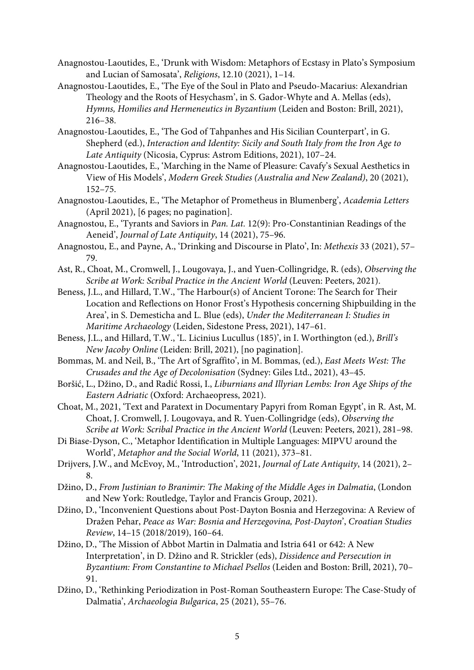Anagnostou-Laoutides, E., 'Drunk with Wisdom: Metaphors of Ecstasy in Plato's Symposium and Lucian of Samosata', *Religions*, 12.10 (2021), 1–14.

- Anagnostou-Laoutides, E., 'The Eye of the Soul in Plato and Pseudo-Macarius: Alexandrian Theology and the Roots of Hesychasm', in S. Gador-Whyte and A. Mellas (eds), *Hymns, Homilies and Hermeneutics in Byzantium* (Leiden and Boston: Brill, 2021), 216–38.
- Anagnostou-Laoutides, E., 'The God of Tahpanhes and His Sicilian Counterpart', in G. Shepherd (ed.), *Interaction and Identity: Sicily and South Italy from the Iron Age to Late Antiquity* (Nicosia, Cyprus: Astrom Editions, 2021), 107–24.
- Anagnostou-Laoutides, E., 'Marching in the Name of Pleasure: Cavafy's Sexual Aesthetics in View of His Models', *Modern Greek Studies (Australia and New Zealand)*, 20 (2021), 152–75.
- Anagnostou-Laoutides, E., 'The Metaphor of Prometheus in Blumenberg', *Academia Letters* (April 2021), [6 pages; no pagination].
- Anagnostou, E., 'Tyrants and Saviors in *Pan. Lat.* 12(9): Pro-Constantinian Readings of the Aeneid', *Journal of Late Antiquity*, 14 (2021), 75–96.
- Anagnostou, E., and Payne, A., 'Drinking and Discourse in Plato', In: *Methexis* 33 (2021), 57– 79.
- Ast, R., Choat, M., Cromwell, J., Lougovaya, J., and Yuen-Collingridge, R. (eds), *Observing the Scribe at Work: Scribal Practice in the Ancient World* (Leuven: Peeters, 2021).
- Beness, J.L., and Hillard, T.W., 'The Harbour(s) of Ancient Torone: The Search for Their Location and Reflections on Honor Frost's Hypothesis concerning Shipbuilding in the Area', in S. Demesticha and L. Blue (eds), *Under the Mediterranean I: Studies in Maritime Archaeology* (Leiden, Sidestone Press, 2021), 147–61.
- Beness, J.L., and Hillard, T.W., 'L. Licinius Lucullus (185)', in I. Worthington (ed.), *Brill's New Jacoby Online* (Leiden: Brill, 2021), [no pagination].
- Bommas, M. and Neil, B., 'The Art of Sgraffito', in M. Bommas, (ed.), *East Meets West: The Crusades and the Age of Decolonisation* (Sydney: Giles Ltd., 2021), 43–45.
- Boršić, L., Džino, D., and Radić Rossi, I., *Liburnians and Illyrian Lembs: Iron Age Ships of the Eastern Adriatic* (Oxford: Archaeopress, 2021).
- Choat, M., 2021, 'Text and Paratext in Documentary Papyri from Roman Egypt', in R. Ast, M. Choat, J. Cromwell, J. Lougovaya, and R. Yuen-Collingridge (eds), *Observing the Scribe at Work: Scribal Practice in the Ancient World* (Leuven: Peeters, 2021), 281–98.
- Di Biase-Dyson, C., 'Metaphor Identification in Multiple Languages: MIPVU around the World', *Metaphor and the Social World*, 11 (2021), 373–81.
- Drijvers, J.W., and McEvoy, M., 'Introduction', 2021, *Journal of Late Antiquity*, 14 (2021), 2– 8.
- Džino, D., *From Justinian to Branimir: The Making of the Middle Ages in Dalmatia*, (London and New York: Routledge, Taylor and Francis Group, 2021).
- Džino, D., 'Inconvenient Questions about Post-Dayton Bosnia and Herzegovina: A Review of Dražen Pehar, *Peace as War: Bosnia and Herzegovina, Post-Dayton*', *Croatian Studies Review*, 14–15 (2018/2019), 160–64.
- Džino, D., 'The Mission of Abbot Martin in Dalmatia and Istria 641 or 642: A New Interpretation', in D. Džino and R. Strickler (eds), *Dissidence and Persecution in Byzantium: From Constantine to Michael Psellos* (Leiden and Boston: Brill, 2021), 70– 91.
- Džino, D., 'Rethinking Periodization in Post-Roman Southeastern Europe: The Case-Study of Dalmatia', *Archaeologia Bulgarica*, 25 (2021), 55–76.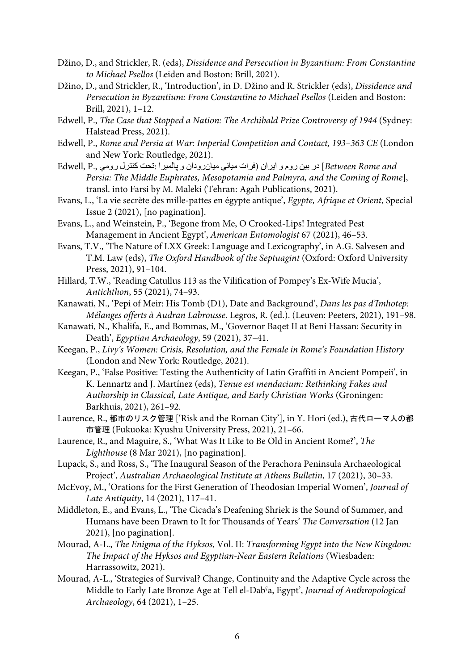- Džino, D., and Strickler, R. (eds), *Dissidence and Persecution in Byzantium: From Constantine to Michael Psellos* (Leiden and Boston: Brill, 2021).
- Džino, D., and Strickler, R., 'Introduction', in D. Džino and R. Strickler (eds), *Dissidence and Persecution in Byzantium: From Constantine to Michael Psellos* (Leiden and Boston: Brill, 2021), 1–12.
- Edwell, P., *The Case that Stopped a Nation: The Archibald Prize Controversy of 1944* (Sydney: Halstead Press, 2021).
- Edwell, P., *Rome and Persia at War: Imperial Competition and Contact, 193–363 CE* (London and New York: Routledge, 2021).
- Between Rome and ] در بین روم و ایران (فرات میانی میان رودان و پالمیرا :تحت كنترل رومی ,Edwell, P *Persia: The Middle Euphrates, Mesopotamia and Palmyra, and the Coming of Rome*], transl. into Farsi by M. Maleki (Tehran: Agah Publications, 2021).
- Evans, L., 'La vie secrète des mille-pattes en égypte antique', *Egypte, Afrique et Orient*, Special Issue 2 (2021), [no pagination].
- Evans, L., and Weinstein, P., 'Begone from Me, O Crooked-Lips! Integrated Pest Management in Ancient Egypt', *American Entomologist* 67 (2021), 46–53.
- Evans, T.V., 'The Nature of LXX Greek: Language and Lexicography', in A.G. Salvesen and T.M. Law (eds), *The Oxford Handbook of the Septuagint* (Oxford: Oxford University Press, 2021), 91–104.
- Hillard, T.W., 'Reading Catullus 113 as the Vilification of Pompey's Ex-Wife Mucia', *Antichthon*, 55 (2021), 74–93.
- Kanawati, N., 'Pepi of Meir: His Tomb (D1), Date and Background', *Dans les pas d'Imhotep: Mélanges offerts à Audran Labrousse*. Legros, R. (ed.). (Leuven: Peeters, 2021), 191–98.
- Kanawati, N., Khalifa, E., and Bommas, M., 'Governor Baqet II at Beni Hassan: Security in Death', *Egyptian Archaeology*, 59 (2021), 37–41.
- Keegan, P., *Livy's Women: Crisis, Resolution, and the Female in Rome's Foundation History* (London and New York: Routledge, 2021).
- Keegan, P., 'False Positive: Testing the Authenticity of Latin Graffiti in Ancient Pompeii', in K. Lennartz and J. Martínez (eds), *Tenue est mendacium: Rethinking Fakes and Authorship in Classical, Late Antique, and Early Christian Works* (Groningen: Barkhuis, 2021), 261–92.
- Laurence, R., 都市のリスク管理 ['Risk and the Roman City'], in Y. Hori (ed.), 古代ローマ人の都 市管理 (Fukuoka: Kyushu University Press, 2021), 21–66.
- Laurence, R., and Maguire, S., 'What Was It Like to Be Old in Ancient Rome?', *The Lighthouse* (8 Mar 2021), [no pagination].
- Lupack, S., and Ross, S., 'The Inaugural Season of the Perachora Peninsula Archaeological Project', *Australian Archaeological Institute at Athens Bulletin*, 17 (2021), 30–33.
- McEvoy, M., 'Orations for the First Generation of Theodosian Imperial Women', *Journal of Late Antiquity*, 14 (2021), 117–41.
- Middleton, E., and Evans, L., 'The Cicada's Deafening Shriek is the Sound of Summer, and Humans have been Drawn to It for Thousands of Years' *The Conversation* (12 Jan 2021), [no pagination].
- Mourad, A-L., *The Enigma of the Hyksos*, Vol. II: *Transforming Egypt into the New Kingdom: The Impact of the Hyksos and Egyptian-Near Eastern Relations* (Wiesbaden: Harrassowitz, 2021).
- Mourad, A-L., 'Strategies of Survival? Change, Continuity and the Adaptive Cycle across the Middle to Early Late Bronze Age at Tell el-Dabˁa, Egypt', *Journal of Anthropological Archaeology*, 64 (2021), 1–25.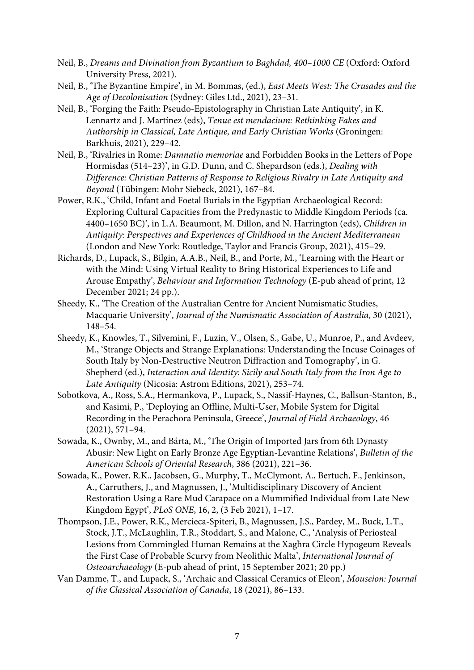- Neil, B., *Dreams and Divination from Byzantium to Baghdad, 400–1000 CE* (Oxford: Oxford University Press, 2021).
- Neil, B., 'The Byzantine Empire', in M. Bommas, (ed.), *East Meets West: The Crusades and the Age of Decolonisation* (Sydney: Giles Ltd., 2021), 23–31.
- Neil, B., 'Forging the Faith: Pseudo-Epistolography in Christian Late Antiquity', in K. Lennartz and J. Martínez (eds), *Tenue est mendacium: Rethinking Fakes and Authorship in Classical, Late Antique, and Early Christian Works* (Groningen: Barkhuis, 2021), 229–42.
- Neil, B., 'Rivalries in Rome: *Damnatio memoriae* and Forbidden Books in the Letters of Pope Hormisdas (514–23)', in G.D. Dunn, and C. Shepardson (eds.), *Dealing with Difference: Christian Patterns of Response to Religious Rivalry in Late Antiquity and Beyond* (Tübingen: Mohr Siebeck, 2021), 167–84.
- Power, R.K., 'Child, Infant and Foetal Burials in the Egyptian Archaeological Record: Exploring Cultural Capacities from the Predynastic to Middle Kingdom Periods (ca. 4400–1650 BC)', in L.A. Beaumont, M. Dillon, and N. Harrington (eds), *Children in Antiquity: Perspectives and Experiences of Childhood in the Ancient Mediterranean* (London and New York: Routledge, Taylor and Francis Group, 2021), 415–29.
- Richards, D., Lupack, S., Bilgin, A.A.B., Neil, B., and Porte, M., 'Learning with the Heart or with the Mind: Using Virtual Reality to Bring Historical Experiences to Life and Arouse Empathy', *Behaviour and Information Technology* (E-pub ahead of print, 12 December 2021; 24 pp.).
- Sheedy, K., 'The Creation of the Australian Centre for Ancient Numismatic Studies, Macquarie University', *Journal of the Numismatic Association of Australia*, 30 (2021), 148–54.
- Sheedy, K., Knowles, T., Silvemini, F., Luzin, V., Olsen, S., Gabe, U., Munroe, P., and Avdeev, M., 'Strange Objects and Strange Explanations: Understanding the Incuse Coinages of South Italy by Non-Destructive Neutron Diffraction and Tomography', in G. Shepherd (ed.), *Interaction and Identity: Sicily and South Italy from the Iron Age to Late Antiquity* (Nicosia: Astrom Editions, 2021), 253–74.
- Sobotkova, A., Ross, S.A., Hermankova, P., Lupack, S., Nassif-Haynes, C., Ballsun-Stanton, B., and Kasimi, P., 'Deploying an Offline, Multi-User, Mobile System for Digital Recording in the Perachora Peninsula, Greece', *Journal of Field Archaeology*, 46 (2021), 571–94.
- Sowada, K., Ownby, M., and Bárta, M., 'The Origin of Imported Jars from 6th Dynasty Abusir: New Light on Early Bronze Age Egyptian-Levantine Relations', *Bulletin of the American Schools of Oriental Research*, 386 (2021), 221–36.
- Sowada, K., Power, R.K., Jacobsen, G., Murphy, T., McClymont, A., Bertuch, F., Jenkinson, A., Carruthers, J., and Magnussen, J., 'Multidisciplinary Discovery of Ancient Restoration Using a Rare Mud Carapace on a Mummified Individual from Late New Kingdom Egypt', *PLoS ONE*, 16, 2, (3 Feb 2021), 1–17.
- Thompson, J.E., Power, R.K., Mercieca-Spiteri, B., Magnussen, J.S., Pardey, M., Buck, L.T., Stock, J.T., McLaughlin, T.R., Stoddart, S., and Malone, C., 'Analysis of Periosteal Lesions from Commingled Human Remains at the Xagħra Circle Hypogeum Reveals the First Case of Probable Scurvy from Neolithic Malta', *International Journal of Osteoarchaeology* (E-pub ahead of print, 15 September 2021; 20 pp.)
- Van Damme, T., and Lupack, S., 'Archaic and Classical Ceramics of Eleon', *Mouseion: Journal of the Classical Association of Canada*, 18 (2021), 86–133.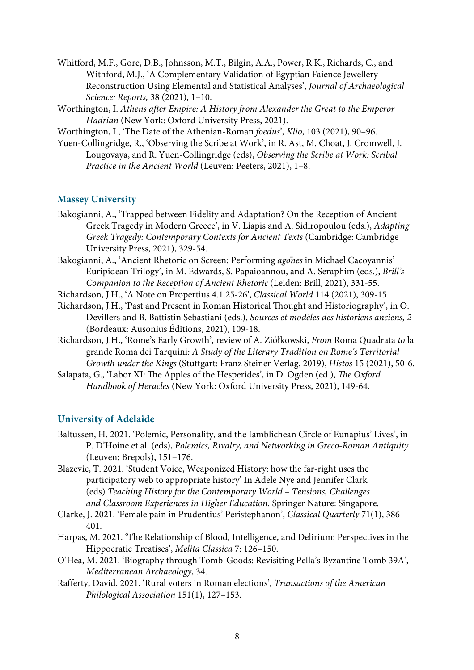Whitford, M.F., Gore, D.B., Johnsson, M.T., Bilgin, A.A., Power, R.K., Richards, C., and Withford, M.J., 'A Complementary Validation of Egyptian Faience Jewellery Reconstruction Using Elemental and Statistical Analyses', *Journal of Archaeological Science: Reports,* 38 (2021), 1–10.

- Worthington, I. *Athens after Empire: A History from Alexander the Great to the Emperor Hadrian* (New York: Oxford University Press, 2021).
- Worthington, I., 'The Date of the Athenian-Roman *foedus*', *Klio*, 103 (2021), 90–96.
- Yuen-Collingridge, R., 'Observing the Scribe at Work', in R. Ast, M. Choat, J. Cromwell, J. Lougovaya, and R. Yuen-Collingridge (eds), *Observing the Scribe at Work: Scribal Practice in the Ancient World* (Leuven: Peeters, 2021), 1–8.

#### **Massey University**

- Bakogianni, A., 'Trapped between Fidelity and Adaptation? On the Reception of Ancient Greek Tragedy in Modern Greece', in V. Liapis and A. Sidiropoulou (eds.), *Adapting Greek Tragedy: Contemporary Contexts for Ancient Texts* (Cambridge: Cambridge University Press, 2021), 329-54.
- Bakogianni, A., 'Ancient Rhetoric on Screen: Performing *ag*о*̄nes* in Michael Cacoyannis' Euripidean Trilogy', in M. Edwards, S. Papaioannou, and A. Seraphim (eds.), *Brill's Companion to the Reception of Ancient Rhetoric* (Leiden: Brill, 2021), 331-55.
- Richardson, J.H., 'A Note on Propertius 4.1.25-26', *Classical World* 114 (2021), 309-15.
- Richardson, J.H., 'Past and Present in Roman Historical Thought and Historiography', in O. Devillers and B. Battistin Sebastiani (eds.), *Sources et modèles des historiens anciens, 2* (Bordeaux: Ausonius Éditions, 2021), 109-18.
- Richardson, J.H., 'Rome's Early Growth', review of A. Ziółkowski, *From* Roma Quadrata *to* la grande Roma dei Tarquini*: A Study of the Literary Tradition on Rome's Territorial Growth under the Kings* (Stuttgart: Franz Steiner Verlag, 2019), *Histos* 15 (2021), 50-6.
- Salapata, G., 'Labor XI: The Apples of the Hesperides', in D. Ogden (ed.), *The Oxford Handbook of Heracles* (New York: Oxford University Press, 2021), 149-64.

#### **University of Adelaide**

- Baltussen, H. 2021. 'Polemic, Personality, and the Iamblichean Circle of Eunapius' Lives', in P. D'Hoine et al. (eds), *Polemics, Rivalry, and Networking in Greco-Roman Antiquity*  (Leuven: Brepols), 151–176.
- Blazevic, T. 2021. 'Student Voice, Weaponized History: how the far-right uses the participatory web to appropriate history' In Adele Nye and Jennifer Clark (eds) *Teaching History for the Contemporary World – Tensions, Challenges and Classroom Experiences in Higher Education.* Springer Nature: Singapore*.*
- Clarke, J. 2021. 'Female pain in Prudentius' Peristephanon', *Classical Quarterly* 71(1), 386– 401.
- Harpas, M. 2021. 'The Relationship of Blood, Intelligence, and Delirium: Perspectives in the Hippocratic Treatises', *Melita Classica* 7: 126–150.
- O'Hea, M. 2021. 'Biography through Tomb-Goods: Revisiting Pella's Byzantine Tomb 39A', *Mediterranean Archaeology*, 34.
- Rafferty, David. 2021. 'Rural voters in Roman elections', *Transactions of the American Philological Association* 151(1), 127–153.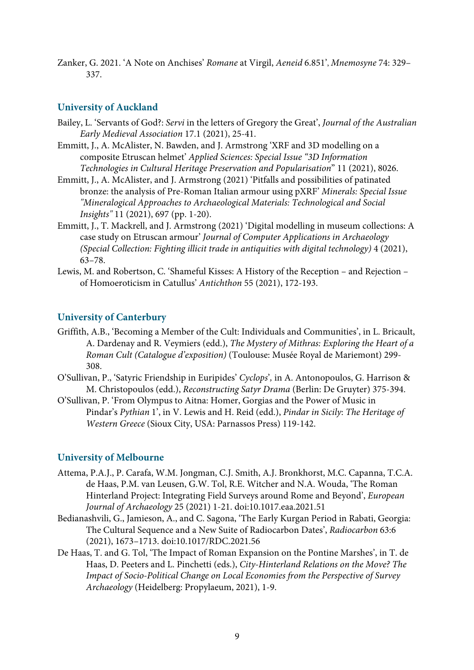Zanker, G. 2021. 'A Note on Anchises' *Romane* at Virgil, *Aeneid* 6.851', *Mnemosyne* 74: 329– 337.

#### **University of Auckland**

- Bailey, L. 'Servants of God?: *Servi* in the letters of Gregory the Great', *Journal of the Australian Early Medieval Association* 17.1 (2021), 25-41.
- Emmitt, J., A. McAlister, N. Bawden, and J. Armstrong 'XRF and 3D modelling on a composite Etruscan helmet' *Applied Sciences: Special Issue "3D Information Technologies in Cultural Heritage Preservation and Popularisation*" 11 (2021), 8026.
- Emmitt, J., A. McAlister, and J. Armstrong (2021) 'Pitfalls and possibilities of patinated bronze: the analysis of Pre-Roman Italian armour using pXRF' *Minerals: Special Issue "Mineralogical Approaches to Archaeological Materials: Technological and Social Insights"* 11 (2021), 697 (pp. 1-20).
- Emmitt, J., T. Mackrell, and J. Armstrong (2021) 'Digital modelling in museum collections: A case study on Etruscan armour' *Journal of Computer Applications in Archaeology (Special Collection: Fighting illicit trade in antiquities with digital technology)* 4 (2021), 63–78.
- Lewis, M. and Robertson, C. 'Shameful Kisses: A History of the Reception and Rejection of Homoeroticism in Catullus' *Antichthon* 55 (2021), 172-193.

#### **University of Canterbury**

- Griffith, A.B., 'Becoming a Member of the Cult: Individuals and Communities', in L. Bricault, A. Dardenay and R. Veymiers (edd.), *The Mystery of Mithras: Exploring the Heart of a Roman Cult (Catalogue d'exposition)* (Toulouse: Musée Royal de Mariemont) 299- 308.
- O'Sullivan, P., 'Satyric Friendship in Euripides' *Cyclops*'*,* in A. Antonopoulos, G. Harrison & M. Christopoulos (edd.), *Reconstructing Satyr Drama* (Berlin: De Gruyter) 375-394.
- O'Sullivan, P. 'From Olympus to Aitna: Homer, Gorgias and the Power of Music in Pindar's *Pythian* 1', in V. Lewis and H. Reid (edd.), *Pindar in Sicily*: *The Heritage of Western Greece* (Sioux City, USA: Parnassos Press) 119-142.

#### **University of Melbourne**

- Attema, P.A.J., P. Carafa, W.M. Jongman, C.J. Smith, A.J. Bronkhorst, M.C. Capanna, T.C.A. de Haas, P.M. van Leusen, G.W. Tol, R.E. Witcher and N.A. Wouda, 'The Roman Hinterland Project: Integrating Field Surveys around Rome and Beyond', *European Journal of Archaeology* 25 (2021) 1-21. doi:10.1017.eaa.2021.51
- Bedianashvili, G., Jamieson, A., and C. Sagona, 'The Early Kurgan Period in Rabati, Georgia: The Cultural Sequence and a New Suite of Radiocarbon Dates', *Radiocarbon* 63:6 (2021), 1673–1713. doi:10.1017/RDC.2021.56
- De Haas, T. and G. Tol, 'The Impact of Roman Expansion on the Pontine Marshes', in T. de Haas, D. Peeters and L. Pinchetti (eds.), *City-Hinterland Relations on the Move? The Impact of Socio-Political Change on Local Economies from the Perspective of Survey Archaeology* (Heidelberg: Propylaeum, 2021), 1-9.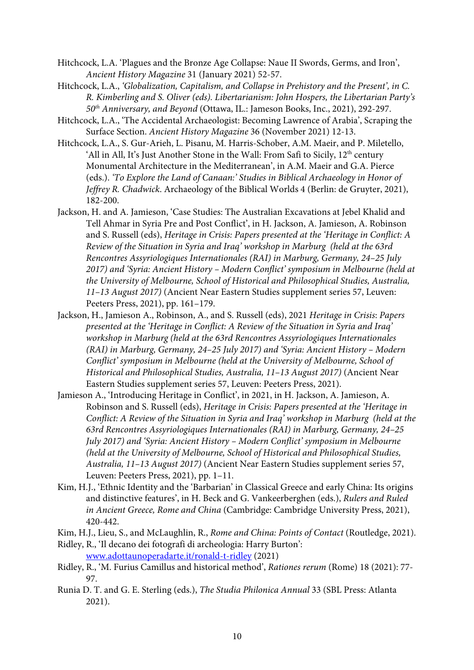- Hitchcock, L.A. 'Plagues and the Bronze Age Collapse: Naue II Swords, Germs, and Iron', *Ancient History Magazine* 31 (January 2021) 52-57.
- Hitchcock, L.A., *'Globalization, Capitalism, and Collapse in Prehistory and the Present', in C. R. Kimberling and S. Oliver (eds). Libertarianism: John Hospers, the Libertarian Party's 50th Anniversary, and Beyond* (Ottawa, IL.: Jameson Books, Inc., 2021), 292-297.
- Hitchcock, L.A., 'The Accidental Archaeologist: Becoming Lawrence of Arabia', Scraping the Surface Section. *Ancient History Magazine* 36 (November 2021) 12-13.
- Hitchcock, L.A., S. Gur-Arieh, L. Pisanu, M. Harris-Schober, A.M. Maeir, and P. Miletello, 'All in All, It's Just Another Stone in the Wall: From Safi to Sicily, 12<sup>th</sup> century Monumental Architecture in the Mediterranean', in A.M. Maeir and G.A. Pierce (eds.). *'To Explore the Land of Canaan:' Studies in Biblical Archaeology in Honor of Jeffrey R. Chadwick*. Archaeology of the Biblical Worlds 4 (Berlin: de Gruyter, 2021), 182-200.
- Jackson, H. and A. Jamieson, 'Case Studies: The Australian Excavations at Jebel Khalid and Tell Ahmar in Syria Pre and Post Conflict', in H. Jackson, A. Jamieson, A. Robinson and S. Russell (eds), *Heritage in Crisis: Papers presented at the 'Heritage in Conflict: A Review of the Situation in Syria and Iraq' workshop in Marburg (held at the 63rd Rencontres Assyriologiques Internationales (RAI) in Marburg, Germany, 24–25 July 2017) and 'Syria: Ancient History – Modern Conflict' symposium in Melbourne (held at the University of Melbourne, School of Historical and Philosophical Studies, Australia, 11–13 August 2017)* (Ancient Near Eastern Studies supplement series 57, Leuven: Peeters Press, 2021), pp. 161–179.
- Jackson, H., Jamieson A., Robinson, A., and S. Russell (eds), 2021 *Heritage in Crisis*: *Papers presented at the 'Heritage in Conflict: A Review of the Situation in Syria and Iraq' workshop in Marburg (held at the 63rd Rencontres Assyriologiques Internationales (RAI) in Marburg, Germany, 24–25 July 2017) and 'Syria: Ancient History – Modern Conflict' symposium in Melbourne (held at the University of Melbourne, School of Historical and Philosophical Studies, Australia, 11–13 August 2017)* (Ancient Near Eastern Studies supplement series 57, Leuven: Peeters Press, 2021).
- Jamieson A., 'Introducing Heritage in Conflict', in 2021, in H. Jackson, A. Jamieson, A. Robinson and S. Russell (eds), *Heritage in Crisis: Papers presented at the 'Heritage in Conflict: A Review of the Situation in Syria and Iraq' workshop in Marburg (held at the 63rd Rencontres Assyriologiques Internationales (RAI) in Marburg, Germany, 24–25 July 2017) and 'Syria: Ancient History – Modern Conflict' symposium in Melbourne (held at the University of Melbourne, School of Historical and Philosophical Studies, Australia, 11–13 August 2017)* (Ancient Near Eastern Studies supplement series 57, Leuven: Peeters Press, 2021), pp. 1–11.
- Kim, H.J., 'Ethnic Identity and the 'Barbarian' in Classical Greece and early China: Its origins and distinctive features', in H. Beck and G. Vankeerberghen (eds.), *Rulers and Ruled in Ancient Greece, Rome and China* (Cambridge: Cambridge University Press, 2021), 420-442.
- Kim, H.J., Lieu, S., and McLaughlin, R., *Rome and China: Points of Contact* (Routledge, 2021).
- Ridley, R., 'Il decano dei fotografi di archeologia: Harry Burton': www.adottaunoperadarte.it/ronald-t-ridley (2021)
- Ridley, R., 'M. Furius Camillus and historical method', *Rationes rerum* (Rome) 18 (2021): 77- 97.
- Runia D. T. and G. E. Sterling (eds.), *The Studia Philonica Annual* 33 (SBL Press: Atlanta 2021).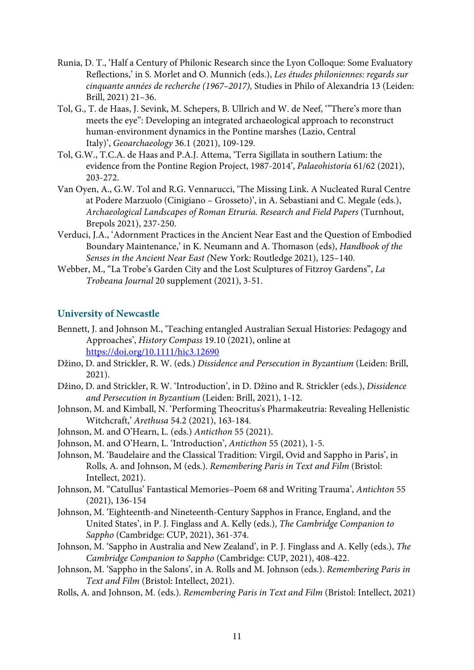- Runia, D. T., 'Half a Century of Philonic Research since the Lyon Colloque: Some Evaluatory Reflections,' in S. Morlet and O. Munnich (eds.), *Les études philoniennes: regards sur cinquante années de recherche (1967–2017),* Studies in Philo of Alexandria 13 (Leiden: Brill, 2021) 21–36.
- Tol, G., T. de Haas, J. Sevink, M. Schepers, B. Ullrich and W. de Neef, '"There's more than meets the eye": Developing an integrated archaeological approach to reconstruct human-environment dynamics in the Pontine marshes (Lazio, Central Italy)', *Geoarchaeology* 36.1 (2021), 109-129.
- Tol, G.W., T.C.A. de Haas and P.A.J. Attema, 'Terra Sigillata in southern Latium: the evidence from the Pontine Region Project, 1987-2014', *Palaeohistoria* 61/62 (2021), 203-272.
- Van Oyen, A., G.W. Tol and R.G. Vennarucci, 'The Missing Link. A Nucleated Rural Centre at Podere Marzuolo (Cinigiano – Grosseto)', in A. Sebastiani and C. Megale (eds.), *Archaeological Landscapes of Roman Etruria. Research and Field Papers* (Turnhout, Brepols 2021), 237-250.
- Verduci, J.A., 'Adornment Practices in the Ancient Near East and the Question of Embodied Boundary Maintenance,' in K. Neumann and A. Thomason (eds), *Handbook of the Senses in the Ancient Near East (*New York: Routledge 2021), 125–140.
- Webber, M., "La Trobe's Garden City and the Lost Sculptures of Fitzroy Gardens", *La Trobeana Journal* 20 supplement (2021), 3-51.

### **University of Newcastle**

- Bennett, J. and Johnson M., 'Teaching entangled Australian Sexual Histories: Pedagogy and Approaches', *History Compass* 19.10 (2021), online at https://doi.org/10.1111/hic3.12690
- Džino, D. and Strickler, R. W. (eds.) *Dissidence and Persecution in Byzantium* (Leiden: Brill, 2021).
- Džino, D. and Strickler, R. W. 'Introduction', in D. Džino and R. Strickler (eds.), *Dissidence and Persecution in Byzantium* (Leiden: Brill, 2021), 1-12.
- Johnson, M. and Kimball, N. 'Performing Theocritus's Pharmakeutria: Revealing Hellenistic Witchcraft,' *Arethusa* 54.2 (2021), 163-184.
- Johnson, M. and O'Hearn, L. (eds.) *Anticthon* 55 (2021).
- Johnson, M. and O'Hearn, L. 'Introduction', *Anticthon* 55 (2021), 1-5.
- Johnson, M. 'Baudelaire and the Classical Tradition: Virgil, Ovid and Sappho in Paris', in Rolls, A. and Johnson, M (eds.). *Remembering Paris in Text and Film* (Bristol: Intellect, 2021).
- Johnson, M. "Catullus' Fantastical Memories–Poem 68 and Writing Trauma', *Antichton* 55 (2021), 136-154
- Johnson, M. 'Eighteenth-and Nineteenth-Century Sapphos in France, England, and the United States', in P. J. Finglass and A. Kelly (eds.), *The Cambridge Companion to Sappho* (Cambridge: CUP, 2021), 361-374.
- Johnson, M. 'Sappho in Australia and New Zealand', in P. J. Finglass and A. Kelly (eds.), *The Cambridge Companion to Sappho* (Cambridge: CUP, 2021), 408-422.
- Johnson, M. 'Sappho in the Salons', in A. Rolls and M. Johnson (eds.). *Remembering Paris in Text and Film* (Bristol: Intellect, 2021).
- Rolls, A. and Johnson, M. (eds.). *Remembering Paris in Text and Film* (Bristol: Intellect, 2021)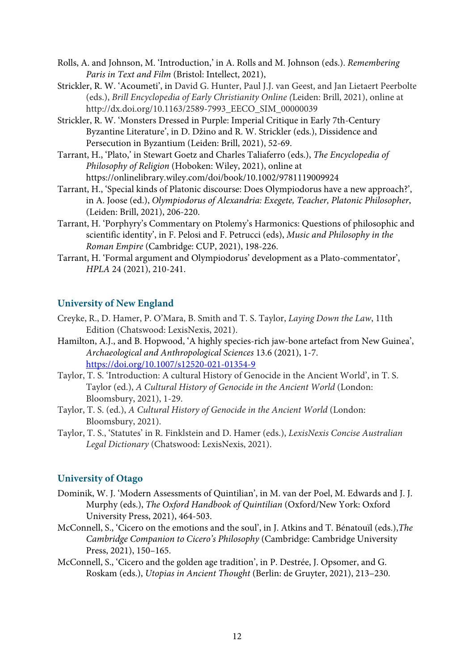- Rolls, A. and Johnson, M. 'Introduction,' in A. Rolls and M. Johnson (eds.). *Remembering Paris in Text and Film* (Bristol: Intellect, 2021),
- Strickler, R. W. 'Acoumeti', in David G. Hunter, Paul J.J. van Geest, and Jan Lietaert Peerbolte (eds.), *Brill Encyclopedia of Early Christianity Online (*Leiden: Brill, 2021), online at http://dx.doi.org/10.1163/2589-7993\_EECO\_SIM\_00000039
- Strickler, R. W. 'Monsters Dressed in Purple: Imperial Critique in Early 7th-Century Byzantine Literature', in D. Džino and R. W. Strickler (eds.), Dissidence and Persecution in Byzantium (Leiden: Brill, 2021), 52-69.
- Tarrant, H., 'Plato,' in Stewart Goetz and Charles Taliaferro (eds.), *The Encyclopedia of Philosophy of Religion* (Hoboken: Wiley, 2021), online at https://onlinelibrary.wiley.com/doi/book/10.1002/9781119009924
- Tarrant, H., 'Special kinds of Platonic discourse: Does Olympiodorus have a new approach?', in A. Joose (ed.), *Olympiodorus of Alexandria: Exegete, Teacher, Platonic Philosopher*, (Leiden: Brill, 2021), 206-220.
- Tarrant, H. 'Porphyry's Commentary on Ptolemy's Harmonics: Questions of philosophic and scientific identity', in F. Pelosi and F. Petrucci (eds), *Music and Philosophy in the Roman Empire* (Cambridge: CUP, 2021), 198-226.
- Tarrant, H. 'Formal argument and Olympiodorus' development as a Plato-commentator', *HPLA* 24 (2021), 210-241.

# **University of New England**

- Creyke, R., D. Hamer, P. O'Mara, B. Smith and T. S. Taylor, *Laying Down the Law*, 11th Edition (Chatswood: LexisNexis, 2021).
- Hamilton, A.J., and B. Hopwood, 'A highly species-rich jaw-bone artefact from New Guinea', *Archaeological and Anthropological Sciences* 13.6 (2021), 1-7. https://doi.org/10.1007/s12520-021-01354-9
- Taylor, T. S. 'Introduction: A cultural History of Genocide in the Ancient World', in T. S. Taylor (ed.), *A Cultural History of Genocide in the Ancient World* (London: Bloomsbury, 2021), 1-29.
- Taylor, T. S. (ed.), *A Cultural History of Genocide in the Ancient World* (London: Bloomsbury, 2021).
- Taylor, T. S., 'Statutes' in R. Finklstein and D. Hamer (eds.), *LexisNexis Concise Australian Legal Dictionary* (Chatswood: LexisNexis, 2021).

# **University of Otago**

- Dominik, W. J. 'Modern Assessments of Quintilian', in M. van der Poel, M. Edwards and J. J. Murphy (eds.), *The Oxford Handbook of Quintilian* (Oxford/New York: Oxford University Press, 2021), 464-503.
- McConnell, S., 'Cicero on the emotions and the soul', in J. Atkins and T. Bénatouïl (eds.),*The Cambridge Companion to Cicero's Philosophy* (Cambridge: Cambridge University Press, 2021), 150–165.
- McConnell, S., 'Cicero and the golden age tradition', in P. Destrée, J. Opsomer, and G. Roskam (eds.), *Utopias in Ancient Thought* (Berlin: de Gruyter, 2021), 213–230.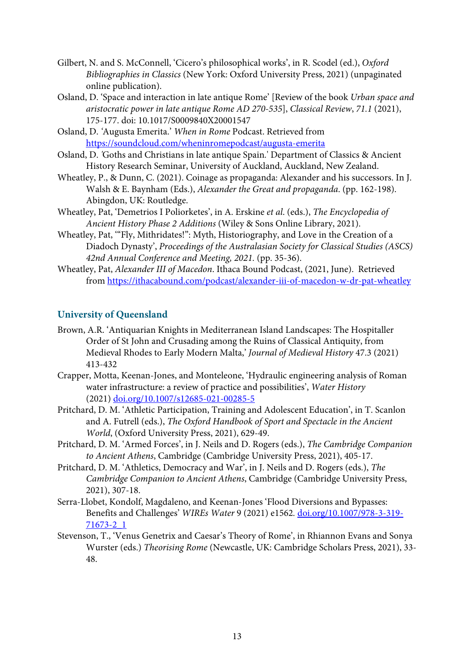- Gilbert, N. and S. McConnell, 'Cicero's philosophical works', in R. Scodel (ed.), *Oxford Bibliographies in Classics* (New York: Oxford University Press, 2021) (unpaginated online publication).
- Osland, D. 'Space and interaction in late antique Rome' [Review of the book *Urban space and aristocratic power in late antique Rome AD 270-535*], *Classical Review*, *71.1* (2021), 175-177. doi: 10.1017/S0009840X20001547
- Osland, D. *'*Augusta Emerita.' *When in Rome* Podcast. Retrieved from https://soundcloud.com/wheninromepodcast/augusta-emerita
- Osland, D. *'*Goths and Christians in late antique Spain*.*' Department of Classics & Ancient History Research Seminar, University of Auckland, Auckland, New Zealand.
- Wheatley, P., & Dunn, C. (2021). Coinage as propaganda: Alexander and his successors. In J. Walsh & E. Baynham (Eds.), *Alexander the Great and propaganda*. (pp. 162-198). Abingdon, UK: Routledge.
- Wheatley, Pat, 'Demetrios I Poliorketes', in A. Erskine *et al*. (eds.), *The Encyclopedia of Ancient History Phase 2 Additions* (Wiley & Sons Online Library, 2021).
- Wheatley, Pat, '"Fly, Mithridates!": Myth, Historiography, and Love in the Creation of a Diadoch Dynasty', *Proceedings of the Australasian Society for Classical Studies (ASCS) 42nd Annual Conference and Meeting, 2021.* (pp. 35-36).
- Wheatley, Pat, *Alexander III of Macedon*. Ithaca Bound Podcast, (2021, June). Retrieved from https://ithacabound.com/podcast/alexander-iii-of-macedon-w-dr-pat-wheatley

# **University of Queensland**

- Brown, A.R. 'Antiquarian Knights in Mediterranean Island Landscapes: The Hospitaller Order of St John and Crusading among the Ruins of Classical Antiquity, from Medieval Rhodes to Early Modern Malta,' *Journal of Medieval History* 47.3 (2021) 413-432
- Crapper, Motta, Keenan-Jones, and Monteleone, 'Hydraulic engineering analysis of Roman water infrastructure: a review of practice and possibilities', *Water History*  (2021) doi.org/10.1007/s12685-021-00285-5
- Pritchard, D. M. 'Athletic Participation, Training and Adolescent Education', in T. Scanlon and A. Futrell (eds.), *The Oxford Handbook of Sport and Spectacle in the Ancient World*, (Oxford University Press, 2021), 629-49.
- Pritchard, D. M. 'Armed Forces', in J. Neils and D. Rogers (eds.), *The Cambridge Companion to Ancient Athens*, Cambridge (Cambridge University Press, 2021), 405-17.
- Pritchard, D. M. 'Athletics, Democracy and War', in J. Neils and D. Rogers (eds.), *The Cambridge Companion to Ancient Athens*, Cambridge (Cambridge University Press, 2021), 307-18.
- Serra-Llobet, Kondolf, Magdaleno, and Keenan-Jones 'Flood Diversions and Bypasses: Benefits and Challenges' *WIREs Water* 9 (2021) e1562*.* doi.org/10.1007/978-3-319- 71673-2\_1
- Stevenson, T., 'Venus Genetrix and Caesar's Theory of Rome', in Rhiannon Evans and Sonya Wurster (eds.) *Theorising Rome* (Newcastle, UK: Cambridge Scholars Press, 2021), 33- 48.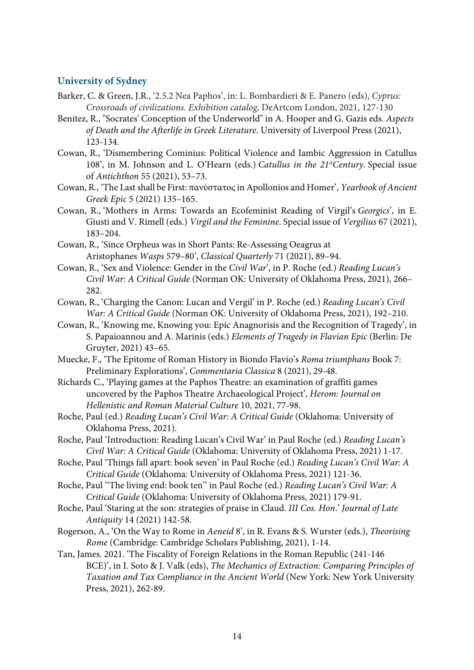### **University of Sydney**

- Barker, C. & Green, J.R., '2.5.2 Nea Paphos', in: L. Bombardieri & E. Panero (eds), *Cyprus: Crossroads of civilizations. Exhibition catalog,* DeArtcom London, 2021, 127-130
- Benitez, R., "Socrates' Conception of the Underworld" in A. Hooper and G. Gazis eds. *Aspects of Death and the Afterlife in Greek Literature*. University of Liverpool Press (2021), 123-134.
- Cowan, R., 'Dismembering Cominius: Political Violence and Iambic Aggression in Catullus 108', in M. Johnson and L. O'Hearn (eds.) *Catullus in the 21stCentury.* Special issue of *Antichthon* 55 (2021), 53–73.
- Cowan, R., 'The Last shall be First: πανύστατος in Apollonios and Homer', *Yearbook of Ancient Greek Epic* 5 (2021) 135–165.
- Cowan, R., 'Mothers in Arms: Towards an Ecofeminist Reading of Virgil's *Georgics*', in E. Giusti and V. Rimell (eds.) *Virgil and the Feminine*. Special issue of *Vergilius* 67 (2021), 183–204.
- Cowan, R., 'Since Orpheus was in Short Pants: Re-Assessing Oeagrus at Aristophanes *Wasps* 579–80', *Classical Quarterly* 71 (2021), 89–94.
- Cowan, R., 'Sex and Violence: Gender in the *Civil War*', in P. Roche (ed.) *Reading Lucan's Civil War: A Critical Guide* (Norman OK: University of Oklahoma Press, 2021), 266– 282.
- Cowan, R., 'Charging the Canon: Lucan and Vergil' in P. Roche (ed.) *Reading Lucan's Civil War: A Critical Guide* (Norman OK: University of Oklahoma Press, 2021), 192–210.
- Cowan, R., 'Knowing me, Knowing you: Epic Anagnorisis and the Recognition of Tragedy', in S. Papaioannou and A. Marinis (eds.) *Elements of Tragedy in Flavian Epic* (Berlin: De Gruyter, 2021) 43–65.
- Muecke, F., 'The Epitome of Roman History in Biondo Flavio's *Roma triumphans* Book 7: Preliminary Explorations', *Commentaria Classica* 8 (2021), 29-48.
- Richards C., 'Playing games at the Paphos Theatre: an examination of graffiti games uncovered by the Paphos Theatre Archaeological Project', *Herom: Journal on Hellenistic and Roman Material Culture* 10, 2021, 77-98.
- Roche, Paul (ed.) *Reading Lucan's Civil War: A Critical Guide* (Oklahoma: University of Oklahoma Press, 2021).
- Roche, Paul 'Introduction: Reading Lucan's Civil War' in Paul Roche (ed.) *Reading Lucan's Civil War: A Critical Guide* (Oklahoma: University of Oklahoma Press, 2021) 1-17.
- Roche, Paul 'Things fall apart: book seven' in Paul Roche (ed.) *Reading Lucan's Civil War: A Critical Guide* (Oklahoma: University of Oklahoma Press, 2021) 121-36.
- Roche, Paul ''The living end: book ten'' in Paul Roche (ed.) *Reading Lucan's Civil War: A Critical Guide* (Oklahoma: University of Oklahoma Press, 2021) 179-91.
- Roche, Paul 'Staring at the son: strategies of praise in Claud. *III Cos. Hon*.' *Journal of Late Antiquity* 14 (2021) 142-58.
- Rogerson, A., 'On the Way to Rome in *Aeneid* 8', in R. Evans & S. Wurster (eds.), *Theorising Rome* (Cambridge: Cambridge Scholars Publishing, 2021), 1-14.
- Tan, James. 2021. 'The Fiscality of Foreign Relations in the Roman Republic (241-146 BCE)', in I. Soto & J. Valk (eds), *The Mechanics of Extraction: Comparing Principles of Taxation and Tax Compliance in the Ancient World* (New York: New York University Press, 2021), 262-89.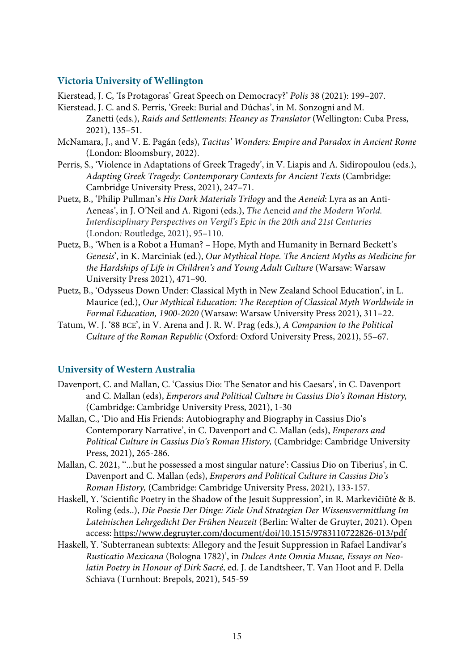#### **Victoria University of Wellington**

Kierstead, J. C, 'Is Protagoras' Great Speech on Democracy?' *Polis* 38 (2021): 199–207.

- Kierstead, J. C. and S. Perris, 'Greek: Burial and Dúchas', in M. Sonzogni and M. Zanetti (eds.), *Raids and Settlements: Heaney as Translator* (Wellington: Cuba Press, 2021), 135–51.
- McNamara, J., and V. E. Pagán (eds), *Tacitus' Wonders: Empire and Paradox in Ancient Rome* (London: Bloomsbury, 2022).
- Perris, S., 'Violence in Adaptations of Greek Tragedy', in V. Liapis and A. Sidiropoulou (eds.), *Adapting Greek Tragedy: Contemporary Contexts for Ancient Texts* (Cambridge: Cambridge University Press, 2021), 247–71.
- Puetz, B., 'Philip Pullman's *His Dark Materials Trilogy* and the *Aeneid*: Lyra as an Anti-Aeneas', in J. O'Neil and A. Rigoni (eds.), *The* Aeneid *and the Modern World. Interdisciplinary Perspectives on Vergil's Epic in the 20th and 21st Centuries*  (London*:* Routledge, 2021), 95–110.
- Puetz, B., 'When is a Robot a Human? Hope, Myth and Humanity in Bernard Beckett's *Genesis*', in K. Marciniak (ed.), *Our Mythical Hope. The Ancient Myths as Medicine for the Hardships of Life in Children's and Young Adult Culture* (Warsaw: Warsaw University Press 2021), 471–90.
- Puetz, B., 'Odysseus Down Under: Classical Myth in New Zealand School Education', in L. Maurice (ed.), *Our Mythical Education: The Reception of Classical Myth Worldwide in Formal Education, 1900-2020* (Warsaw: Warsaw University Press 2021), 311–22.
- Tatum, W. J. '88 BCE', in V. Arena and J. R. W. Prag (eds.), *A Companion to the Political Culture of the Roman Republic* (Oxford: Oxford University Press, 2021), 55–67.

#### **University of Western Australia**

- Davenport, C. and Mallan, C. 'Cassius Dio: The Senator and his Caesars', in C. Davenport and C. Mallan (eds), *Emperors and Political Culture in Cassius Dio's Roman History,* (Cambridge: Cambridge University Press, 2021), 1-30
- Mallan, C., 'Dio and His Friends: Autobiography and Biography in Cassius Dio's Contemporary Narrative', in C. Davenport and C. Mallan (eds), *Emperors and Political Culture in Cassius Dio's Roman History,* (Cambridge: Cambridge University Press, 2021), 265-286.
- Mallan, C. 2021, ''...but he possessed a most singular nature': Cassius Dio on Tiberius', in C. Davenport and C. Mallan (eds), *Emperors and Political Culture in Cassius Dio's Roman History,* (Cambridge: Cambridge University Press, 2021), 133-157.
- Haskell, Y. 'Scientific Poetry in the Shadow of the Jesuit Suppression', in R. Markevičiūtė & B. Roling (eds..), *Die Poesie Der Dinge: Ziele Und Strategien Der Wissensvermittlung Im Lateinischen Lehrgedicht Der Frühen Neuzeit* (Berlin: Walter de Gruyter, 2021). Open access: https://www.degruyter.com/document/doi/10.1515/9783110722826-013/pdf
- Haskell, Y. 'Subterranean subtexts: Allegory and the Jesuit Suppression in Rafael Landívar's *Rusticatio Mexicana* (Bologna 1782)', in *Dulces Ante Omnia Musae, Essays on Neolatin Poetry in Honour of Dirk Sacré*, ed. J. de Landtsheer, T. Van Hoot and F. Della Schiava (Turnhout: Brepols, 2021), 545-59